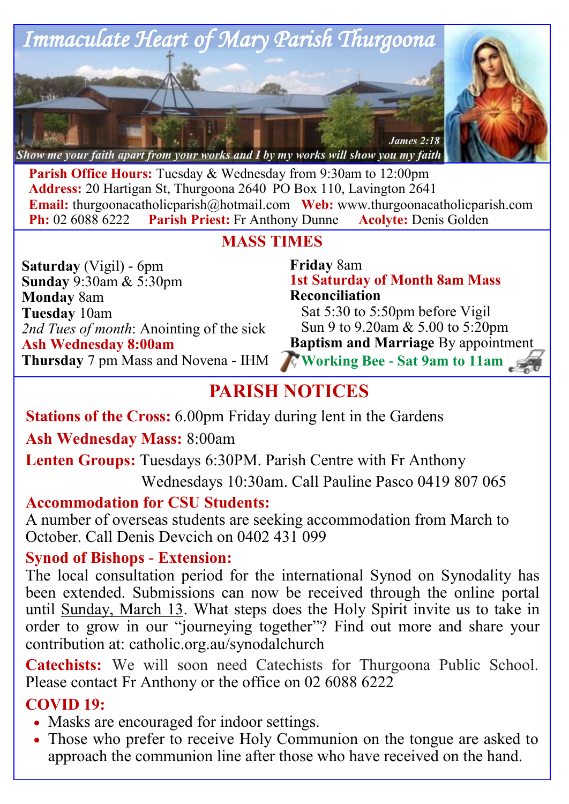

**Parish Office Hours:** Tuesday & Wednesday from 9:30am to 12:00pm **Address:** 20 Hartigan St, Thurgoona 2640 PO Box 110, Lavington 2641 **Email:** thurgoonacatholicparish@hotmail.com Web: www.thurgoonacatholicparish.com<br> **Ph:** 02 6088 6222 Parish Priest: Fr Anthony Dunne Acolyte: Denis Golden **Parish Priest:** Fr Anthony Dunne **Acolyte:** Denis Golden

## **MASS TIMES**

**Saturday** (Vigil) - 6pm **Sunday** 9:30am & 5:30pm **Monday** 8am **Tuesday** 10am *2nd Tues of month*: Anointing of the sick **Ash Wednesday 8:00am Thursday** 7 pm Mass and Novena - IHM

**Friday** 8am **1st Saturday of Month 8am Mass Reconciliation**  Sat 5:30 to 5:50pm before Vigil Sun 9 to 9.20am & 5.00 to 5:20pm **Baptism and Marriage** By appointment  **Working Bee - Sat 9am to 11am**

# **PARISH NOTICES**

**Stations of the Cross:** 6.00pm Friday during lent in the Gardens

**Ash Wednesday Mass:** 8:00am

**Lenten Groups:** Tuesdays 6:30PM. Parish Centre with Fr Anthony Wednesdays 10:30am. Call Pauline Pasco 0419 807 065

## **Accommodation for CSU Students:**

A number of overseas students are seeking accommodation from March to October. Call Denis Devcich on 0402 431 099

## **Synod of Bishops - Extension:**

The local consultation period for the international Synod on Synodality has been extended. Submissions can now be received through the online portal until Sunday, March 13. What steps does the Holy Spirit invite us to take in order to grow in our "journeying together"? Find out more and share your contribution at: [catholic.org.au/synodalchurch](https://catholic.org.au/synodalchurch)

**Catechists:** We will soon need Catechists for Thurgoona Public School. Please contact Fr Anthony or the office on 02 6088 6222

## **COVID 19:**

- Masks are encouraged for indoor settings.
- Those who prefer to receive Holy Communion on the tongue are asked to approach the communion line after those who have received on the hand.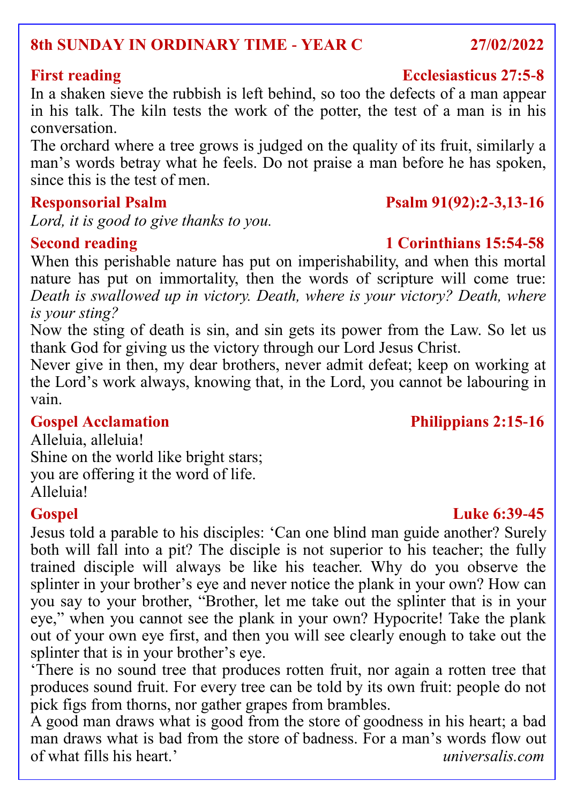### **8th SUNDAY IN ORDINARY TIME - YEAR C 27/02/2022**

### **First reading Ecclesiasticus 27:5-8**

In a shaken sieve the rubbish is left behind, so too the defects of a man appear in his talk. The kiln tests the work of the potter, the test of a man is in his conversation.

The orchard where a tree grows is judged on the quality of its fruit, similarly a man's words betray what he feels. Do not praise a man before he has spoken, since this is the test of men.

*Lord, it is good to give thanks to you.*

### **Second reading 1 Corinthians 15:54-58**

When this perishable nature has put on imperishability, and when this mortal nature has put on immortality, then the words of scripture will come true: *Death is swallowed up in victory. Death, where is your victory? Death, where is your sting?*

Now the sting of death is sin, and sin gets its power from the Law. So let us thank God for giving us the victory through our Lord Jesus Christ.

Never give in then, my dear brothers, never admit defeat; keep on working at the Lord's work always, knowing that, in the Lord, you cannot be labouring in vain.

### **Gospel Acclamation Philippians 2:15-16**

Alleluia, alleluia! Shine on the world like bright stars; you are offering it the word of life. Alleluia!

Jesus told a parable to his disciples: 'Can one blind man guide another? Surely both will fall into a pit? The disciple is not superior to his teacher; the fully trained disciple will always be like his teacher. Why do you observe the splinter in your brother's eye and never notice the plank in your own? How can you say to your brother, "Brother, let me take out the splinter that is in your eye," when you cannot see the plank in your own? Hypocrite! Take the plank out of your own eye first, and then you will see clearly enough to take out the splinter that is in your brother's eye.

'There is no sound tree that produces rotten fruit, nor again a rotten tree that produces sound fruit. For every tree can be told by its own fruit: people do not pick figs from thorns, nor gather grapes from brambles.

A good man draws what is good from the store of goodness in his heart; a bad man draws what is bad from the store of badness. For a man's words flow out of what fills his heart.' *universalis.com*

## **Gospel Luke 6:39-45**

# **Responsorial Psalm Psalm 91(92):2-3,13-16**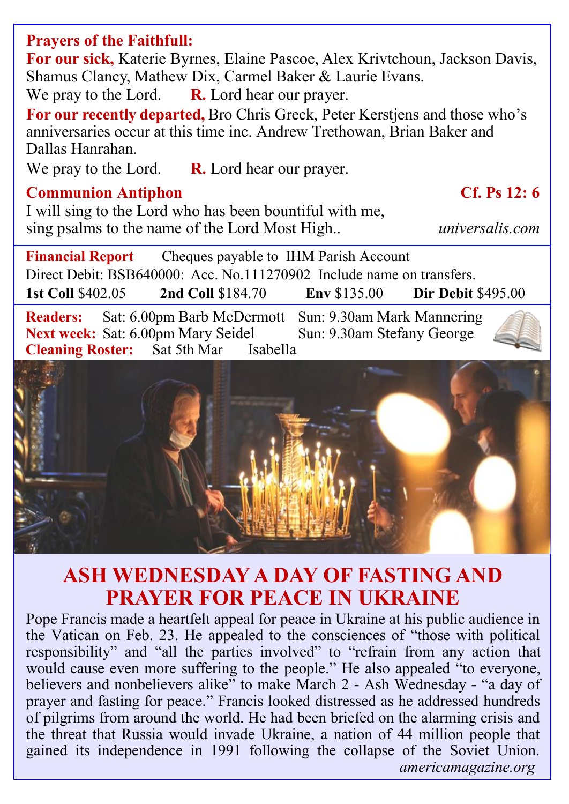## **Prayers of the Faithfull:**

**For our sick,** Katerie Byrnes, Elaine Pascoe, Alex Krivtchoun, Jackson Davis, Shamus Clancy, Mathew Dix, Carmel Baker & Laurie Evans.

We pray to the Lord. **R.** Lord hear our prayer.

**For our recently departed,** Bro Chris Greck, Peter Kerstjens and those who's anniversaries occur at this time inc. Andrew Trethowan, Brian Baker and Dallas Hanrahan.

We pray to the Lord. **R.** Lord hear our prayer.

## **Communion Antiphon Cf. Ps 12: 6**

I will sing to the Lord who has been bountiful with me, sing psalms to the name of the Lord Most High.. *universalis.com*

**Financial Report** Cheques payable to IHM Parish Account Direct Debit: BSB640000: Acc. No.111270902 Include name on transfers. **1st Coll** \$402.05 **2nd Coll** \$184.70 **Env** \$135.00 **Dir Debit** \$495.00

**Readers:** Sat: 6.00pm Barb McDermott Sun: 9.30am Mark Mannering **Next week:** Sat: 6.00pm Mary Seidel Sun: 9.30am Stefany George **Cleaning Roster:** Sat 5th Mar





# **ASH WEDNESDAY A DAY OF FASTING AND PRAYER FOR PEACE IN UKRAINE**

Pope Francis made a heartfelt appeal for peace in Ukraine at his public audience in the Vatican on Feb. 23. He appealed to the consciences of "those with political responsibility" and "all the parties involved" to "refrain from any action that would cause even more suffering to the people." He also appealed "to everyone, believers and nonbelievers alike" to make March 2 - Ash Wednesday - "a day of prayer and fasting for peace." Francis looked distressed as he addressed hundreds of pilgrims from around the world. He had been briefed on the alarming crisis and the threat that Russia would invade Ukraine, a nation of 44 million people that gained its independence in 1991 following the collapse of the Soviet Union.

*americamagazine.org*